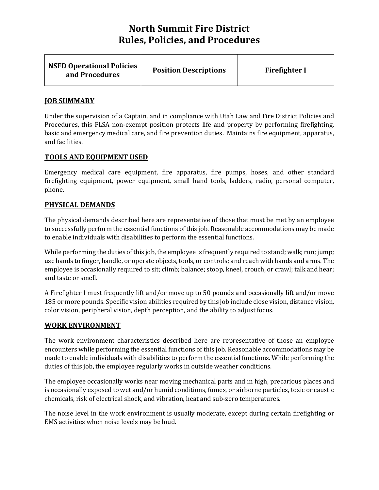| <b>NSFD Operational Policies</b><br>and Procedures | <b>Position Descriptions</b> | <b>Firefighter I</b> |
|----------------------------------------------------|------------------------------|----------------------|
|----------------------------------------------------|------------------------------|----------------------|

#### **JOB SUMMARY**

Under the supervision of a Captain, and in compliance with Utah Law and Fire District Policies and Procedures, this FLSA non-exempt position protects life and property by performing firefighting, basic and emergency medical care, and fire prevention duties. Maintains fire equipment, apparatus, and facilities.

#### **TOOLS AND EQUIPMENT USED**

Emergency medical care equipment, fire apparatus, fire pumps, hoses, and other standard firefighting equipment, power equipment, small hand tools, ladders, radio, personal computer, phone.

### **PHYSICAL DEMANDS**

The physical demands described here are representative of those that must be met by an employee to successfully perform the essential functions of this job. Reasonable accommodations may be made to enable individuals with disabilities to perform the essential functions.

While performing the duties of this job, the employee is frequently required to stand; walk; run; jump; use hands to finger, handle, or operate objects, tools, or controls; and reach with hands and arms. The employee is occasionally required to sit; climb; balance; stoop, kneel, crouch, or crawl; talk and hear; and taste or smell.

A Firefighter I must frequently lift and/or move up to 50 pounds and occasionally lift and/or move 185 or more pounds. Specific vision abilities required by this job include close vision, distance vision, color vision, peripheral vision, depth perception, and the ability to adjust focus.

#### **WORK ENVIRONMENT**

The work environment characteristics described here are representative of those an employee encounters while performing the essential functions of this job. Reasonable accommodations may be made to enable individuals with disabilities to perform the essential functions. While performing the duties of this job, the employee regularly works in outside weather conditions.

The employee occasionally works near moving mechanical parts and in high, precarious places and is occasionally exposed to wet and/or humid conditions, fumes, or airborne particles, toxic or caustic chemicals, risk of electrical shock, and vibration, heat and sub-zero temperatures.

The noise level in the work environment is usually moderate, except during certain firefighting or EMS activities when noise levels may be loud.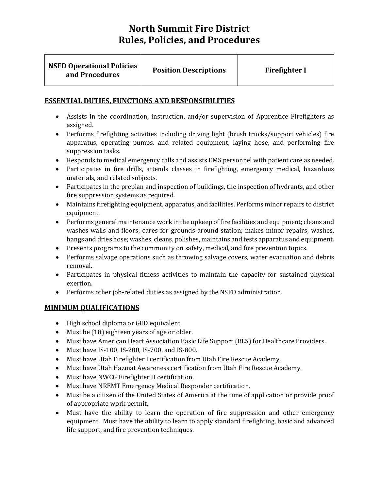| <b>NSFD Operational Policies</b><br>and Procedures | <b>Position Descriptions</b> | <b>Firefighter I</b> |
|----------------------------------------------------|------------------------------|----------------------|
|                                                    |                              |                      |

## **ESSENTIAL DUTIES, FUNCTIONS AND RESPONSIBILITIES**

- Assists in the coordination, instruction, and/or supervision of Apprentice Firefighters as assigned.
- Performs firefighting activities including driving light (brush trucks/support vehicles) fire apparatus, operating pumps, and related equipment, laying hose, and performing fire suppression tasks.
- Responds to medical emergency calls and assists EMS personnel with patient care as needed.
- Participates in fire drills, attends classes in firefighting, emergency medical, hazardous materials, and related subjects.
- Participates in the preplan and inspection of buildings, the inspection of hydrants, and other fire suppression systems as required.
- Maintains firefighting equipment, apparatus, and facilities. Performs minor repairs to district equipment.
- Performs general maintenance work in the upkeep of fire facilities and equipment; cleans and washes walls and floors; cares for grounds around station; makes minor repairs; washes, hangs and dries hose; washes, cleans, polishes, maintains and tests apparatus and equipment.
- Presents programs to the community on safety, medical, and fire prevention topics.
- Performs salvage operations such as throwing salvage covers, water evacuation and debris removal.
- Participates in physical fitness activities to maintain the capacity for sustained physical exertion.
- Performs other job-related duties as assigned by the NSFD administration.

# **MINIMUM QUALIFICATIONS**

- High school diploma or GED equivalent.
- Must be (18) eighteen years of age or older.
- Must have American Heart Association Basic Life Support (BLS) for Healthcare Providers.
- Must have IS-100, IS-200, IS-700, and IS-800.
- Must have Utah Firefighter I certification from Utah Fire Rescue Academy.
- Must have Utah Hazmat Awareness certification from Utah Fire Rescue Academy.
- Must have NWCG Firefighter II certification.
- Must have NREMT Emergency Medical Responder certification.
- Must be a citizen of the United States of America at the time of application or provide proof of appropriate work permit.
- Must have the ability to learn the operation of fire suppression and other emergency equipment. Must have the ability to learn to apply standard firefighting, basic and advanced life support, and fire prevention techniques.